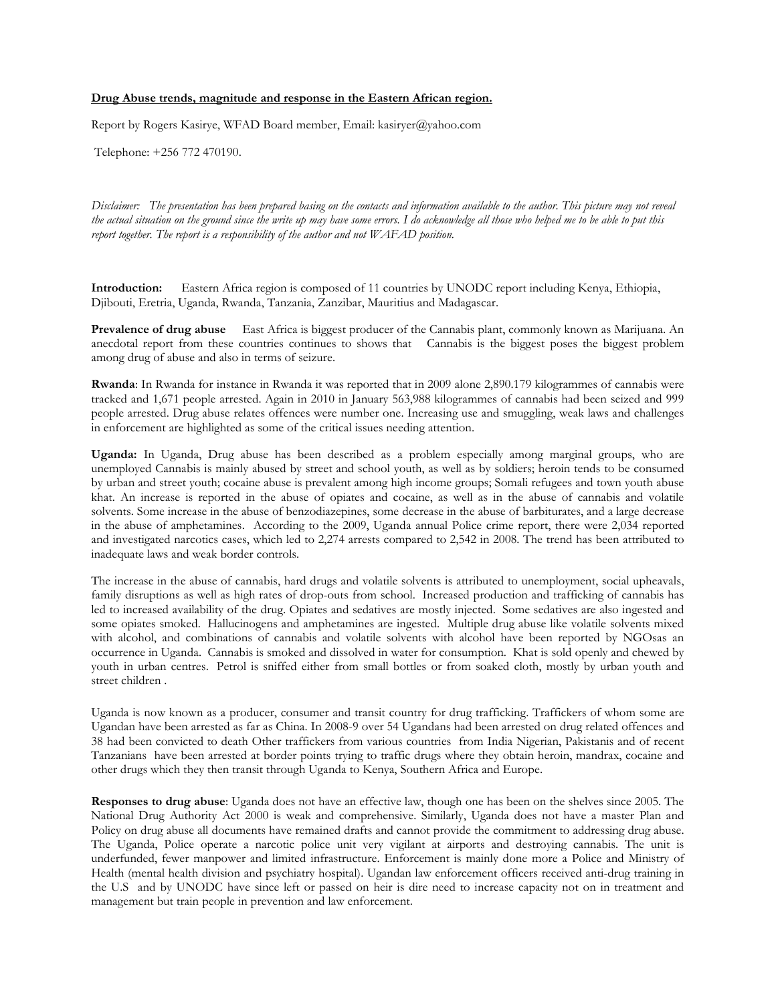### **Drug Abuse trends, magnitude and response in the Eastern African region.**

Report by Rogers Kasirye, WFAD Board member, Email: kasiryer@yahoo.com

Telephone: +256 772 470190.

*Disclaimer: The presentation has been prepared basing on the contacts and information available to the author. This picture may not reveal the actual situation on the ground since the write up may have some errors. I do acknowledge all those who helped me to be able to put this report together. The report is a responsibility of the author and not WAFAD position.*

**Introduction:** Eastern Africa region is composed of 11 countries by UNODC report including Kenya, Ethiopia, Djibouti, Eretria, Uganda, Rwanda, Tanzania, Zanzibar, Mauritius and Madagascar.

**Prevalence of drug abuse** East Africa is biggest producer of the Cannabis plant, commonly known as Marijuana. An anecdotal report from these countries continues to shows that Cannabis is the biggest poses the biggest problem among drug of abuse and also in terms of seizure.

**Rwanda**: In Rwanda for instance in Rwanda it was reported that in 2009 alone 2,890.179 kilogrammes of cannabis were tracked and 1,671 people arrested. Again in 2010 in January 563,988 kilogrammes of cannabis had been seized and 999 people arrested. Drug abuse relates offences were number one. Increasing use and smuggling, weak laws and challenges in enforcement are highlighted as some of the critical issues needing attention.

**Uganda:** In Uganda, Drug abuse has been described as a problem especially among marginal groups, who are unemployed Cannabis is mainly abused by street and school youth, as well as by soldiers; heroin tends to be consumed by urban and street youth; cocaine abuse is prevalent among high income groups; Somali refugees and town youth abuse khat. An increase is reported in the abuse of opiates and cocaine, as well as in the abuse of cannabis and volatile solvents. Some increase in the abuse of benzodiazepines, some decrease in the abuse of barbiturates, and a large decrease in the abuse of amphetamines. According to the 2009, Uganda annual Police crime report, there were 2,034 reported and investigated narcotics cases, which led to 2,274 arrests compared to 2,542 in 2008. The trend has been attributed to inadequate laws and weak border controls.

The increase in the abuse of cannabis, hard drugs and volatile solvents is attributed to unemployment, social upheavals, family disruptions as well as high rates of drop-outs from school. Increased production and trafficking of cannabis has led to increased availability of the drug. Opiates and sedatives are mostly injected. Some sedatives are also ingested and some opiates smoked. Hallucinogens and amphetamines are ingested. Multiple drug abuse like volatile solvents mixed with alcohol, and combinations of cannabis and volatile solvents with alcohol have been reported by NGOsas an occurrence in Uganda. Cannabis is smoked and dissolved in water for consumption. Khat is sold openly and chewed by youth in urban centres. Petrol is sniffed either from small bottles or from soaked cloth, mostly by urban youth and street children .

Uganda is now known as a producer, consumer and transit country for drug trafficking. Traffickers of whom some are Ugandan have been arrested as far as China. In 2008-9 over 54 Ugandans had been arrested on drug related offences and 38 had been convicted to death Other traffickers from various countries from India Nigerian, Pakistanis and of recent Tanzanians have been arrested at border points trying to traffic drugs where they obtain heroin, mandrax, cocaine and other drugs which they then transit through Uganda to Kenya, Southern Africa and Europe.

**Responses to drug abuse**: Uganda does not have an effective law, though one has been on the shelves since 2005. The National Drug Authority Act 2000 is weak and comprehensive. Similarly, Uganda does not have a master Plan and Policy on drug abuse all documents have remained drafts and cannot provide the commitment to addressing drug abuse. The Uganda, Police operate a narcotic police unit very vigilant at airports and destroying cannabis. The unit is underfunded, fewer manpower and limited infrastructure. Enforcement is mainly done more a Police and Ministry of Health (mental health division and psychiatry hospital). Ugandan law enforcement officers received anti-drug training in the U.S and by UNODC have since left or passed on heir is dire need to increase capacity not on in treatment and management but train people in prevention and law enforcement.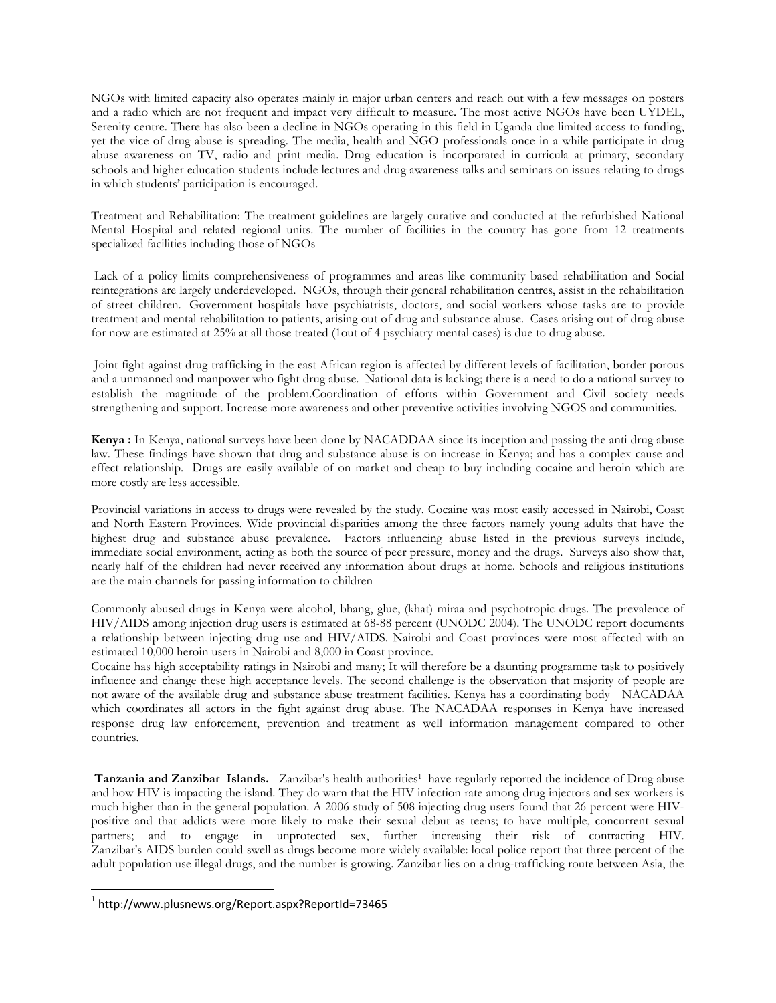NGOs with limited capacity also operates mainly in major urban centers and reach out with a few messages on posters and a radio which are not frequent and impact very difficult to measure. The most active NGOs have been UYDEL, Serenity centre. There has also been a decline in NGOs operating in this field in Uganda due limited access to funding, yet the vice of drug abuse is spreading. The media, health and NGO professionals once in a while participate in drug abuse awareness on TV, radio and print media. Drug education is incorporated in curricula at primary, secondary schools and higher education students include lectures and drug awareness talks and seminars on issues relating to drugs in which students' participation is encouraged.

Treatment and Rehabilitation: The treatment guidelines are largely curative and conducted at the refurbished National Mental Hospital and related regional units. The number of facilities in the country has gone from 12 treatments specialized facilities including those of NGOs

Lack of a policy limits comprehensiveness of programmes and areas like community based rehabilitation and Social reintegrations are largely underdeveloped. NGOs, through their general rehabilitation centres, assist in the rehabilitation of street children. Government hospitals have psychiatrists, doctors, and social workers whose tasks are to provide treatment and mental rehabilitation to patients, arising out of drug and substance abuse. Cases arising out of drug abuse for now are estimated at 25% at all those treated (1out of 4 psychiatry mental cases) is due to drug abuse.

Joint fight against drug trafficking in the east African region is affected by different levels of facilitation, border porous and a unmanned and manpower who fight drug abuse. National data is lacking; there is a need to do a national survey to establish the magnitude of the problem.Coordination of efforts within Government and Civil society needs strengthening and support. Increase more awareness and other preventive activities involving NGOS and communities.

**Kenya :** In Kenya, national surveys have been done by NACADDAA since its inception and passing the anti drug abuse law. These findings have shown that drug and substance abuse is on increase in Kenya; and has a complex cause and effect relationship. Drugs are easily available of on market and cheap to buy including cocaine and heroin which are more costly are less accessible.

Provincial variations in access to drugs were revealed by the study. Cocaine was most easily accessed in Nairobi, Coast and North Eastern Provinces. Wide provincial disparities among the three factors namely young adults that have the highest drug and substance abuse prevalence. Factors influencing abuse listed in the previous surveys include, immediate social environment, acting as both the source of peer pressure, money and the drugs. Surveys also show that, nearly half of the children had never received any information about drugs at home. Schools and religious institutions are the main channels for passing information to children

Commonly abused drugs in Kenya were alcohol, bhang, glue, (khat) miraa and psychotropic drugs. The prevalence of HIV/AIDS among injection drug users is estimated at 68-88 percent (UNODC 2004). The UNODC report documents a relationship between injecting drug use and HIV/AIDS. Nairobi and Coast provinces were most affected with an estimated 10,000 heroin users in Nairobi and 8,000 in Coast province.

Cocaine has high acceptability ratings in Nairobi and many; It will therefore be a daunting programme task to positively influence and change these high acceptance levels. The second challenge is the observation that majority of people are not aware of the available drug and substance abuse treatment facilities. Kenya has a coordinating body NACADAA which coordinates all actors in the fight against drug abuse. The NACADAA responses in Kenya have increased response drug law enforcement, prevention and treatment as well information management compared to other countries.

**Tanzania and Zanzibar Islands.** Zanzibar's health authorities<sup>[1](#page-1-0)</sup> have regularly reported the incidence of Drug abuse and how HIV is impacting the island. They do warn that the HIV infection rate among drug injectors and sex workers is much higher than in the general population. A 2006 study of 508 injecting drug users found that 26 percent were HIVpositive and that addicts were more likely to make their sexual debut as teens; to have multiple, concurrent sexual partners; and to engage in unprotected sex, further increasing their risk of contracting HIV. Zanzibar's AIDS burden could swell as drugs become more widely available: local police report that three percent of the adult population use illegal drugs, and the number is growing. Zanzibar lies on a drug-trafficking route between Asia, the

<span id="page-1-0"></span><sup>1</sup> http://www.plusnews.org/Report.aspx?ReportId=73465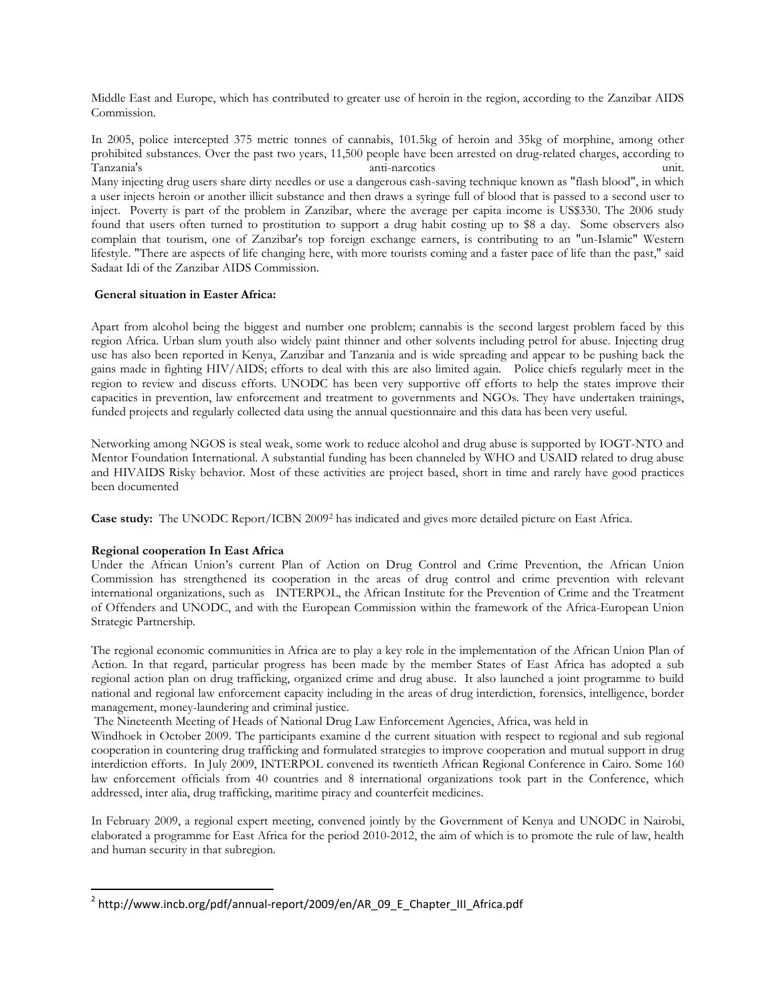Middle East and Europe, which has contributed to greater use of heroin in the region, according to the Zanzibar AIDS Commission.

In 2005, police intercepted 375 metric tonnes of cannabis, 101.5kg of heroin and 35kg of morphine, among other prohibited substances. Over the past two years, 11,500 people have been arrested on drug-related charges, according to Tanzania's anti-narcotics unit. Many injecting drug users share dirty needles or use a dangerous cash-saving technique known as "flash blood", in which a user injects heroin or another illicit substance and then draws a syringe full of blood that is passed to a second user to inject. Poverty is part of the problem in Zanzibar, where the average per capita income is US\$330. The 2006 study found that users often turned to prostitution to support a drug habit costing up to \$8 a day. Some observers also complain that tourism, one of Zanzibar's top foreign exchange earners, is contributing to an "un-Islamic" Western lifestyle. "There are aspects of life changing here, with more tourists coming and a faster pace of life than the past," said Sadaat Idi of the Zanzibar AIDS Commission.

## **General situation in Easter Africa:**

Apart from alcohol being the biggest and number one problem; cannabis is the second largest problem faced by this region Africa. Urban slum youth also widely paint thinner and other solvents including petrol for abuse. Injecting drug use has also been reported in Kenya, Zanzibar and Tanzania and is wide spreading and appear to be pushing back the gains made in fighting HIV/AIDS; efforts to deal with this are also limited again. Police chiefs regularly meet in the region to review and discuss efforts. UNODC has been very supportive off efforts to help the states improve their capacities in prevention, law enforcement and treatment to governments and NGOs. They have undertaken trainings, funded projects and regularly collected data using the annual questionnaire and this data has been very useful.

Networking among NGOS is steal weak, some work to reduce alcohol and drug abuse is supported by IOGT-NTO and Mentor Foundation International. A substantial funding has been channeled by WHO and USAID related to drug abuse and HIVAIDS Risky behavior. Most of these activities are project based, short in time and rarely have good practices been documented

**Case study:** The UNODC Report/ICBN 200[9](#page-2-0)<sup>2</sup> has indicated and gives more detailed picture on East Africa.

# **Regional cooperation In East Africa**

Under the African Union's current Plan of Action on Drug Control and Crime Prevention, the African Union Commission has strengthened its cooperation in the areas of drug control and crime prevention with relevant international organizations, such as INTERPOL, the African Institute for the Prevention of Crime and the Treatment of Offenders and UNODC, and with the European Commission within the framework of the Africa-European Union Strategic Partnership.

The regional economic communities in Africa are to play a key role in the implementation of the African Union Plan of Action. In that regard, particular progress has been made by the member States of East Africa has adopted a sub regional action plan on drug trafficking, organized crime and drug abuse. It also launched a joint programme to build national and regional law enforcement capacity including in the areas of drug interdiction, forensics, intelligence, border management, money-laundering and criminal justice.

The Nineteenth Meeting of Heads of National Drug Law Enforcement Agencies, Africa, was held in

Windhoek in October 2009. The participants examine d the current situation with respect to regional and sub regional cooperation in countering drug trafficking and formulated strategies to improve cooperation and mutual support in drug interdiction efforts. In July 2009, INTERPOL convened its twentieth African Regional Conference in Cairo. Some 160 law enforcement officials from 40 countries and 8 international organizations took part in the Conference, which addressed, inter alia, drug trafficking, maritime piracy and counterfeit medicines.

In February 2009, a regional expert meeting, convened jointly by the Government of Kenya and UNODC in Nairobi, elaborated a programme for East Africa for the period 2010-2012, the aim of which is to promote the rule of law, health and human security in that subregion.

<span id="page-2-0"></span><sup>&</sup>lt;sup>2</sup> http://www.incb.org/pdf/annual-report/2009/en/AR\_09\_E\_Chapter\_III\_Africa.pdf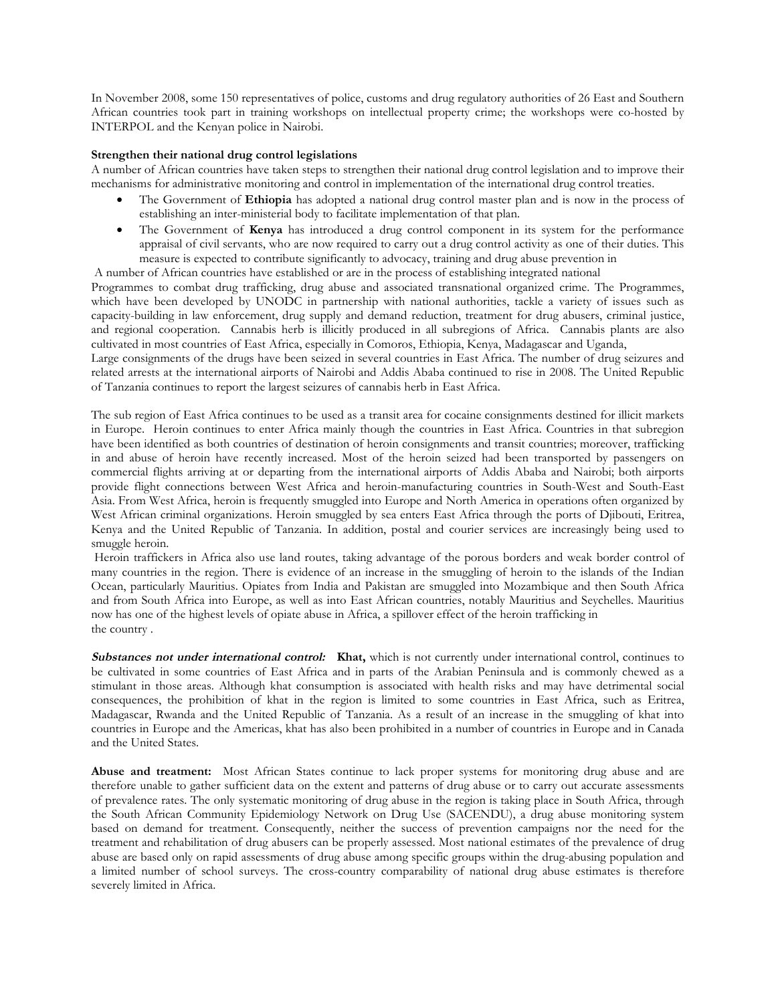In November 2008, some 150 representatives of police, customs and drug regulatory authorities of 26 East and Southern African countries took part in training workshops on intellectual property crime; the workshops were co-hosted by INTERPOL and the Kenyan police in Nairobi.

### **Strengthen their national drug control legislations**

A number of African countries have taken steps to strengthen their national drug control legislation and to improve their mechanisms for administrative monitoring and control in implementation of the international drug control treaties.

- The Government of **Ethiopia** has adopted a national drug control master plan and is now in the process of establishing an inter-ministerial body to facilitate implementation of that plan.
- The Government of **Kenya** has introduced a drug control component in its system for the performance appraisal of civil servants, who are now required to carry out a drug control activity as one of their duties. This measure is expected to contribute significantly to advocacy, training and drug abuse prevention in

A number of African countries have established or are in the process of establishing integrated national

Programmes to combat drug trafficking, drug abuse and associated transnational organized crime. The Programmes, which have been developed by UNODC in partnership with national authorities, tackle a variety of issues such as capacity-building in law enforcement, drug supply and demand reduction, treatment for drug abusers, criminal justice, and regional cooperation. Cannabis herb is illicitly produced in all subregions of Africa. Cannabis plants are also cultivated in most countries of East Africa, especially in Comoros, Ethiopia, Kenya, Madagascar and Uganda,

Large consignments of the drugs have been seized in several countries in East Africa. The number of drug seizures and related arrests at the international airports of Nairobi and Addis Ababa continued to rise in 2008. The United Republic of Tanzania continues to report the largest seizures of cannabis herb in East Africa.

The sub region of East Africa continues to be used as a transit area for cocaine consignments destined for illicit markets in Europe. Heroin continues to enter Africa mainly though the countries in East Africa. Countries in that subregion have been identified as both countries of destination of heroin consignments and transit countries; moreover, trafficking in and abuse of heroin have recently increased. Most of the heroin seized had been transported by passengers on commercial flights arriving at or departing from the international airports of Addis Ababa and Nairobi; both airports provide flight connections between West Africa and heroin-manufacturing countries in South-West and South-East Asia. From West Africa, heroin is frequently smuggled into Europe and North America in operations often organized by West African criminal organizations. Heroin smuggled by sea enters East Africa through the ports of Djibouti, Eritrea, Kenya and the United Republic of Tanzania. In addition, postal and courier services are increasingly being used to smuggle heroin.

Heroin traffickers in Africa also use land routes, taking advantage of the porous borders and weak border control of many countries in the region. There is evidence of an increase in the smuggling of heroin to the islands of the Indian Ocean, particularly Mauritius. Opiates from India and Pakistan are smuggled into Mozambique and then South Africa and from South Africa into Europe, as well as into East African countries, notably Mauritius and Seychelles. Mauritius now has one of the highest levels of opiate abuse in Africa, a spillover effect of the heroin trafficking in the country .

**Substances not under international control: Khat,** which is not currently under international control, continues to be cultivated in some countries of East Africa and in parts of the Arabian Peninsula and is commonly chewed as a stimulant in those areas. Although khat consumption is associated with health risks and may have detrimental social consequences, the prohibition of khat in the region is limited to some countries in East Africa, such as Eritrea, Madagascar, Rwanda and the United Republic of Tanzania. As a result of an increase in the smuggling of khat into countries in Europe and the Americas, khat has also been prohibited in a number of countries in Europe and in Canada and the United States.

**Abuse and treatment:** Most African States continue to lack proper systems for monitoring drug abuse and are therefore unable to gather sufficient data on the extent and patterns of drug abuse or to carry out accurate assessments of prevalence rates. The only systematic monitoring of drug abuse in the region is taking place in South Africa, through the South African Community Epidemiology Network on Drug Use (SACENDU), a drug abuse monitoring system based on demand for treatment. Consequently, neither the success of prevention campaigns nor the need for the treatment and rehabilitation of drug abusers can be properly assessed. Most national estimates of the prevalence of drug abuse are based only on rapid assessments of drug abuse among specific groups within the drug-abusing population and a limited number of school surveys. The cross-country comparability of national drug abuse estimates is therefore severely limited in Africa.